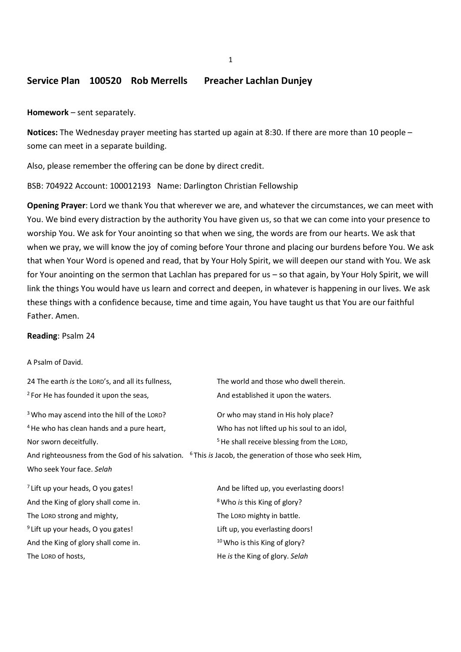# Service Plan 100520 Rob Merrells Preacher Lachlan Dunjey

Homework – sent separately.

Notices: The Wednesday prayer meeting has started up again at 8:30. If there are more than 10 people – some can meet in a separate building.

Also, please remember the offering can be done by direct credit.

BSB: 704922 Account: 100012193 Name: Darlington Christian Fellowship

Opening Prayer: Lord we thank You that wherever we are, and whatever the circumstances, we can meet with You. We bind every distraction by the authority You have given us, so that we can come into your presence to worship You. We ask for Your anointing so that when we sing, the words are from our hearts. We ask that when we pray, we will know the joy of coming before Your throne and placing our burdens before You. We ask that when Your Word is opened and read, that by Your Holy Spirit, we will deepen our stand with You. We ask for Your anointing on the sermon that Lachlan has prepared for us – so that again, by Your Holy Spirit, we will link the things You would have us learn and correct and deepen, in whatever is happening in our lives. We ask these things with a confidence because, time and time again, You have taught us that You are our faithful Father. Amen.

### Reading: Psalm 24

### A Psalm of David.

| 24 The earth is the LORD's, and all its fullness,      | The world and those who dwell therein.                                                                             |  |
|--------------------------------------------------------|--------------------------------------------------------------------------------------------------------------------|--|
| <sup>2</sup> For He has founded it upon the seas,      | And established it upon the waters.                                                                                |  |
| <sup>3</sup> Who may ascend into the hill of the LORD? | Or who may stand in His holy place?                                                                                |  |
| <sup>4</sup> He who has clean hands and a pure heart,  | Who has not lifted up his soul to an idol,                                                                         |  |
| Nor sworn deceitfully.                                 | <sup>5</sup> He shall receive blessing from the LORD,                                                              |  |
|                                                        | And righteousness from the God of his salvation. <sup>6</sup> This is Jacob, the generation of those who seek Him, |  |
| Who seek Your face. Selah                              |                                                                                                                    |  |
| <sup>7</sup> Lift up your heads, O you gates!          | And be lifted up, you everlasting doors!                                                                           |  |
| And the King of glory shall come in.                   | <sup>8</sup> Who is this King of glory?                                                                            |  |
| The LORD strong and mighty,                            | The LORD mighty in battle.                                                                                         |  |
| <sup>9</sup> Lift up your heads, O you gates!          | Lift up, you everlasting doors!                                                                                    |  |
| And the King of glory shall come in.                   | <sup>10</sup> Who is this King of glory?                                                                           |  |
| The LORD of hosts,                                     | He is the King of glory. Selah                                                                                     |  |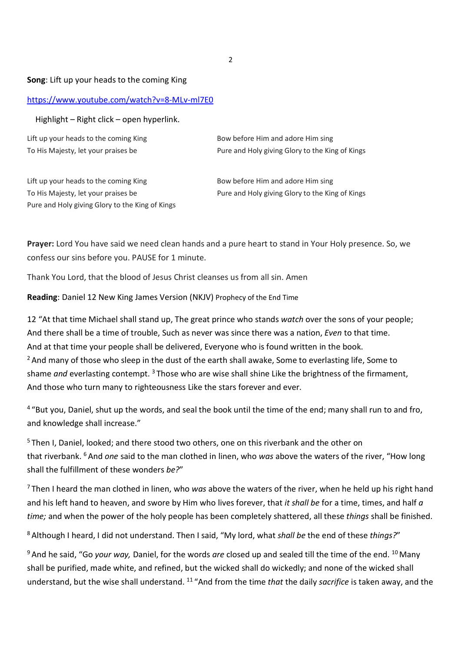## Song: Lift up your heads to the coming King

## https://www.youtube.com/watch?v=8-MLv-ml7E0

Highlight – Right click – open hyperlink.

| Lift up your heads to the coming King<br>To His Majesty, let your praises be | Bow before Him and adore Him sing<br>Pure and Holy giving Glory to the King of Kings |
|------------------------------------------------------------------------------|--------------------------------------------------------------------------------------|
|                                                                              |                                                                                      |
| Lift up your heads to the coming King                                        | Bow before Him and adore Him sing                                                    |
| To His Majesty, let your praises be                                          | Pure and Holy giving Glory to the King of Kings                                      |
| Pure and Holy giving Glory to the King of Kings                              |                                                                                      |

Prayer: Lord You have said we need clean hands and a pure heart to stand in Your Holy presence. So, we confess our sins before you. PAUSE for 1 minute.

Thank You Lord, that the blood of Jesus Christ cleanses us from all sin. Amen

Reading: Daniel 12 New King James Version (NKJV) Prophecy of the End Time

12 "At that time Michael shall stand up, The great prince who stands watch over the sons of your people; And there shall be a time of trouble, Such as never was since there was a nation, Even to that time. And at that time your people shall be delivered, Everyone who is found written in the book. <sup>2</sup> And many of those who sleep in the dust of the earth shall awake, Some to everlasting life, Some to shame and everlasting contempt.  $3$  Those who are wise shall shine Like the brightness of the firmament, And those who turn many to righteousness Like the stars forever and ever.

<sup>4</sup>"But you, Daniel, shut up the words, and seal the book until the time of the end; many shall run to and fro, and knowledge shall increase."

<sup>5</sup> Then I, Daniel, looked; and there stood two others, one on this riverbank and the other on that riverbank. <sup>6</sup>And *one* said to the man clothed in linen, who was above the waters of the river, "How long shall the fulfillment of these wonders be?"

<sup>7</sup>Then I heard the man clothed in linen, who was above the waters of the river, when he held up his right hand and his left hand to heaven, and swore by Him who lives forever, that it shall be for a time, times, and half a time; and when the power of the holy people has been completely shattered, all these things shall be finished.

<sup>8</sup> Although I heard, I did not understand. Then I said, "My lord, what shall be the end of these things?"

<sup>9</sup> And he said, "Go your way, Daniel, for the words are closed up and sealed till the time of the end. <sup>10</sup> Many shall be purified, made white, and refined, but the wicked shall do wickedly; and none of the wicked shall understand, but the wise shall understand. <sup>11</sup> "And from the time that the daily sacrifice is taken away, and the

2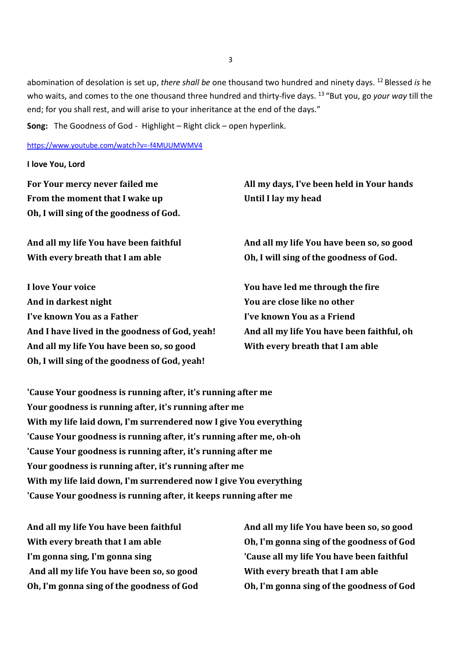abomination of desolation is set up, there shall be one thousand two hundred and ninety days. <sup>12</sup> Blessed is he who waits, and comes to the one thousand three hundred and thirty-five days. <sup>13</sup> "But you, go your way till the end; for you shall rest, and will arise to your inheritance at the end of the days."

Song: The Goodness of God - Highlight – Right click – open hyperlink.

https://www.youtube.com/watch?v=-f4MUUMWMV4

#### I love You, Lord

| For Your mercy never failed me                 | All my days, I've been held in Your hands  |
|------------------------------------------------|--------------------------------------------|
| From the moment that I wake up                 | Until I lay my head                        |
| Oh, I will sing of the goodness of God.        |                                            |
| And all my life You have been faithful         | And all my life You have been so, so good  |
| With every breath that I am able               | Oh, I will sing of the goodness of God.    |
| I love Your voice                              | You have led me through the fire           |
| And in darkest night                           | You are close like no other                |
| I've known You as a Father                     | I've known You as a Friend                 |
| And I have lived in the goodness of God, yeah! | And all my life You have been faithful, oh |
| And all my life You have been so, so good      | With every breath that I am able           |
| Oh, I will sing of the goodness of God, yeah!  |                                            |

'Cause Your goodness is running after, it's running after me Your goodness is running after, it's running after me With my life laid down, I'm surrendered now I give You everything 'Cause Your goodness is running after, it's running after me, oh-oh 'Cause Your goodness is running after, it's running after me Your goodness is running after, it's running after me With my life laid down, I'm surrendered now I give You everything 'Cause Your goodness is running after, it keeps running after me

I'm gonna sing, I'm gonna sing 'Cause all my life You have been faithful And all my life You have been so, so good With every breath that I am able

And all my life You have been faithful And all my life You have been so, so good With every breath that I am able **Oh, I'm gonna sing of the goodness of God** Oh, I'm gonna sing of the goodness of God Oh, I'm gonna sing of the goodness of God